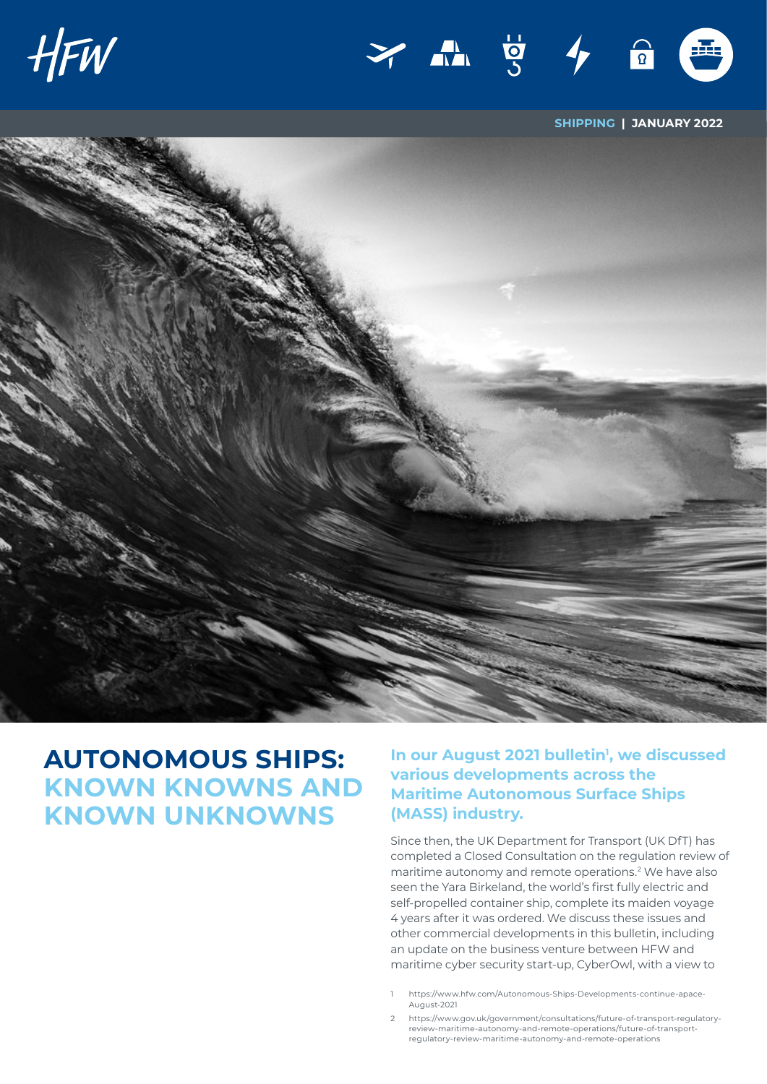



**SHIPPING | JANUARY 2022**



# **AUTONOMOUS SHIPS: KNOWN KNOWNS AND KNOWN UNKNOWNS**

In our August 2021 bulletin<sup>1</sup>, we discussed **various developments across the Maritime Autonomous Surface Ships (MASS) industry.**

Since then, the UK Department for Transport (UK DfT) has completed a Closed Consultation on the regulation review of maritime autonomy and remote operations.<sup>2</sup> We have also seen the Yara Birkeland, the world's first fully electric and self-propelled container ship, complete its maiden voyage 4 years after it was ordered. We discuss these issues and other commercial developments in this bulletin, including an update on the business venture between HFW and maritime cyber security start-up, CyberOwl, with a view to

- 1 [https://www.hfw.com/Autonomous-Ships-Developments-continue-apace-](https://www.hfw.com/Autonomous-Ships-Developments-continue-apace-August-2021)[August-2021](https://www.hfw.com/Autonomous-Ships-Developments-continue-apace-August-2021)
- 2 [https://www.gov.uk/government/consultations/future-of-transport-regulatory](https://www.gov.uk/government/consultations/future-of-transport-regulatory-review-maritime-autonomy-and-remote-operations/future-of-transport-regulatory-review-maritime-autonomy-and-remote-operations)[review-maritime-autonomy-and-remote-operations/future-of-transport](https://www.gov.uk/government/consultations/future-of-transport-regulatory-review-maritime-autonomy-and-remote-operations/future-of-transport-regulatory-review-maritime-autonomy-and-remote-operations)[regulatory-review-maritime-autonomy-and-remote-operations](https://www.gov.uk/government/consultations/future-of-transport-regulatory-review-maritime-autonomy-and-remote-operations/future-of-transport-regulatory-review-maritime-autonomy-and-remote-operations)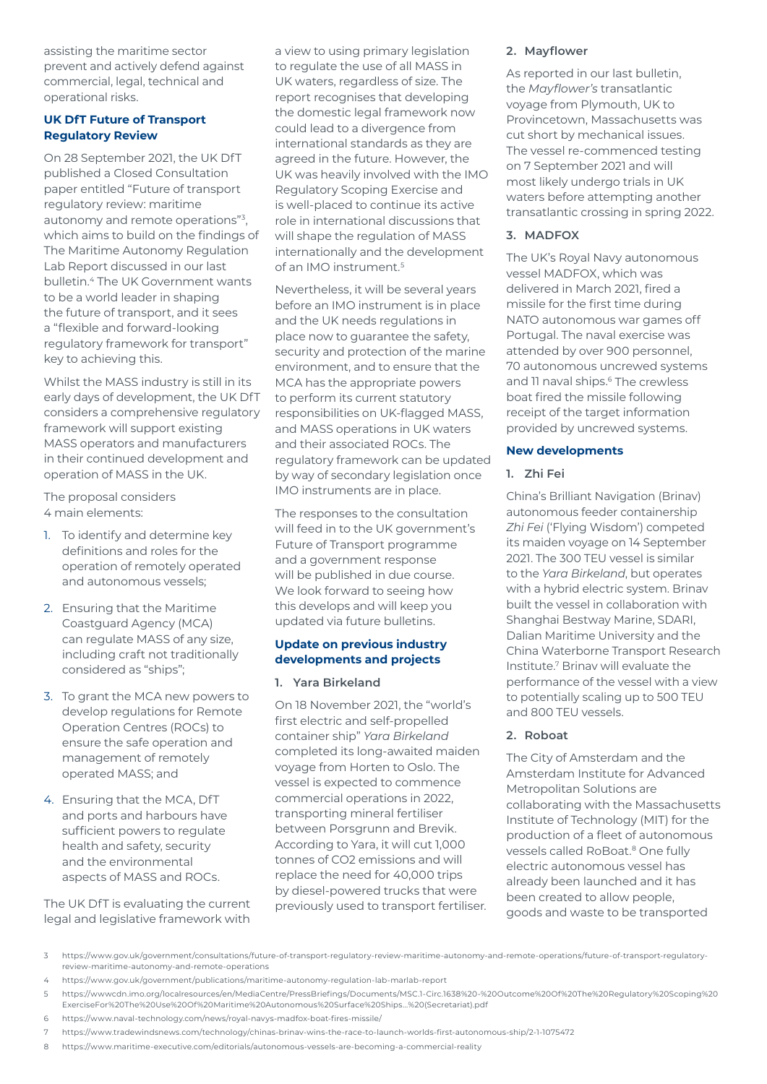assisting the maritime sector prevent and actively defend against commercial, legal, technical and operational risks.

## **UK DfT Future of Transport Regulatory Review**

On 28 September 2021, the UK DfT published a Closed Consultation paper entitled "Future of transport regulatory review: maritime autonomy and remote operations"3, which aims to build on the findings of The Maritime Autonomy Regulation Lab Report discussed in our last bulletin.4 The UK Government wants to be a world leader in shaping the future of transport, and it sees a "flexible and forward-looking regulatory framework for transport" key to achieving this.

Whilst the MASS industry is still in its early days of development, the UK DfT considers a comprehensive regulatory framework will support existing MASS operators and manufacturers in their continued development and operation of MASS in the UK.

The proposal considers 4 main elements:

- 1. To identify and determine key definitions and roles for the operation of remotely operated and autonomous vessels;
- 2. Ensuring that the Maritime Coastguard Agency (MCA) can regulate MASS of any size, including craft not traditionally considered as "ships";
- 3. To grant the MCA new powers to develop regulations for Remote Operation Centres (ROCs) to ensure the safe operation and management of remotely operated MASS; and
- 4. Ensuring that the MCA, DfT and ports and harbours have sufficient powers to regulate health and safety, security and the environmental aspects of MASS and ROCs.

The UK DfT is evaluating the current legal and legislative framework with

a view to using primary legislation to regulate the use of all MASS in UK waters, regardless of size. The report recognises that developing the domestic legal framework now could lead to a divergence from international standards as they are agreed in the future. However, the UK was heavily involved with the IMO Regulatory Scoping Exercise and is well-placed to continue its active role in international discussions that will shape the regulation of MASS internationally and the development of an IMO instrument.5

Nevertheless, it will be several years before an IMO instrument is in place and the UK needs regulations in place now to guarantee the safety, security and protection of the marine environment, and to ensure that the MCA has the appropriate powers to perform its current statutory responsibilities on UK-flagged MASS, and MASS operations in UK waters and their associated ROCs. The regulatory framework can be updated by way of secondary legislation once IMO instruments are in place.

The responses to the consultation will feed in to the UK government's Future of Transport programme and a government response will be published in due course. We look forward to seeing how this develops and will keep you updated via future bulletins.

## **Update on previous industry developments and projects**

#### **1. Yara Birkeland**

On 18 November 2021, the "world's first electric and self-propelled container ship" *Yara Birkeland* completed its long-awaited maiden voyage from Horten to Oslo. The vessel is expected to commence commercial operations in 2022, transporting mineral fertiliser between Porsgrunn and Brevik. According to Yara, it will cut 1,000 tonnes of CO2 emissions and will replace the need for 40,000 trips by diesel-powered trucks that were previously used to transport fertiliser.

#### **2. Mayflower**

As reported in our last bulletin, the *Mayflower's* transatlantic voyage from Plymouth, UK to Provincetown, Massachusetts was cut short by mechanical issues. The vessel re-commenced testing on 7 September 2021 and will most likely undergo trials in UK waters before attempting another transatlantic crossing in spring 2022.

## **3. MADFOX**

The UK's Royal Navy autonomous vessel MADFOX, which was delivered in March 2021, fired a missile for the first time during NATO autonomous war games off Portugal. The naval exercise was attended by over 900 personnel, 70 autonomous uncrewed systems and 11 naval ships.<sup>6</sup> The crewless boat fired the missile following receipt of the target information provided by uncrewed systems.

## **New developments**

## **1. Zhi Fei**

China's Brilliant Navigation (Brinav) autonomous feeder containership *Zhi Fei* ('Flying Wisdom') competed its maiden voyage on 14 September 2021. The 300 TEU vessel is similar to the *Yara Birkeland*, but operates with a hybrid electric system. Brinav built the vessel in collaboration with Shanghai Bestway Marine, SDARI, Dalian Maritime University and the China Waterborne Transport Research Institute.7 Brinav will evaluate the performance of the vessel with a view to potentially scaling up to 500 TEU and 800 TEU vessels.

# **2. Roboat**

The City of Amsterdam and the Amsterdam Institute for Advanced Metropolitan Solutions are collaborating with the Massachusetts Institute of Technology (MIT) for the production of a fleet of autonomous vessels called RoBoat.<sup>8</sup> One fully electric autonomous vessel has already been launched and it has been created to allow people, goods and waste to be transported

3 [https://www.gov.uk/government/consultations/future-of-transport-regulatory-review-maritime-autonomy-and-remote-operations/future-of-transport-regulatory](https://www.gov.uk/government/consultations/future-of-transport-regulatory-review-maritime-autonomy-and-remote-operations/future-of-transport-regulatory-review-maritime-autonomy-and-remote-operations)[review-maritime-autonomy-and-remote-operations](https://www.gov.uk/government/consultations/future-of-transport-regulatory-review-maritime-autonomy-and-remote-operations/future-of-transport-regulatory-review-maritime-autonomy-and-remote-operations)

4 <https://www.gov.uk/government/publications/maritime-autonomy-regulation-lab-marlab-report>

<sup>5</sup> [https://wwwcdn.imo.org/localresources/en/MediaCentre/PressBriefings/Documents/MSC.1-Circ.1638%20-%20Outcome%20Of%20The%20Regulatory%20Scoping%20](https://wwwcdn.imo.org/localresources/en/MediaCentre/PressBriefings/Documents/MSC.1-Circ.1638%20-%20Outcome%20Of%20The%20Regulatory%20Scoping%20ExerciseFor%20The%20Use%20Of%20Maritime%20Autonomous%20Surface%20Ships...%20(Secretariat).pdf) [ExerciseFor%20The%20Use%20Of%20Maritime%20Autonomous%20Surface%20Ships...%20\(Secretariat\).pdf](https://wwwcdn.imo.org/localresources/en/MediaCentre/PressBriefings/Documents/MSC.1-Circ.1638%20-%20Outcome%20Of%20The%20Regulatory%20Scoping%20ExerciseFor%20The%20Use%20Of%20Maritime%20Autonomous%20Surface%20Ships...%20(Secretariat).pdf)

<sup>6</sup> <https://www.naval-technology.com/news/royal-navys-madfox-boat-fires-missile/>

<sup>7</sup> <https://www.tradewindsnews.com/technology/chinas-brinav-wins-the-race-to-launch-worlds-first-autonomous-ship/2-1-1075472>

<sup>8</sup> <https://www.maritime-executive.com/editorials/autonomous-vessels-are-becoming-a-commercial-reality>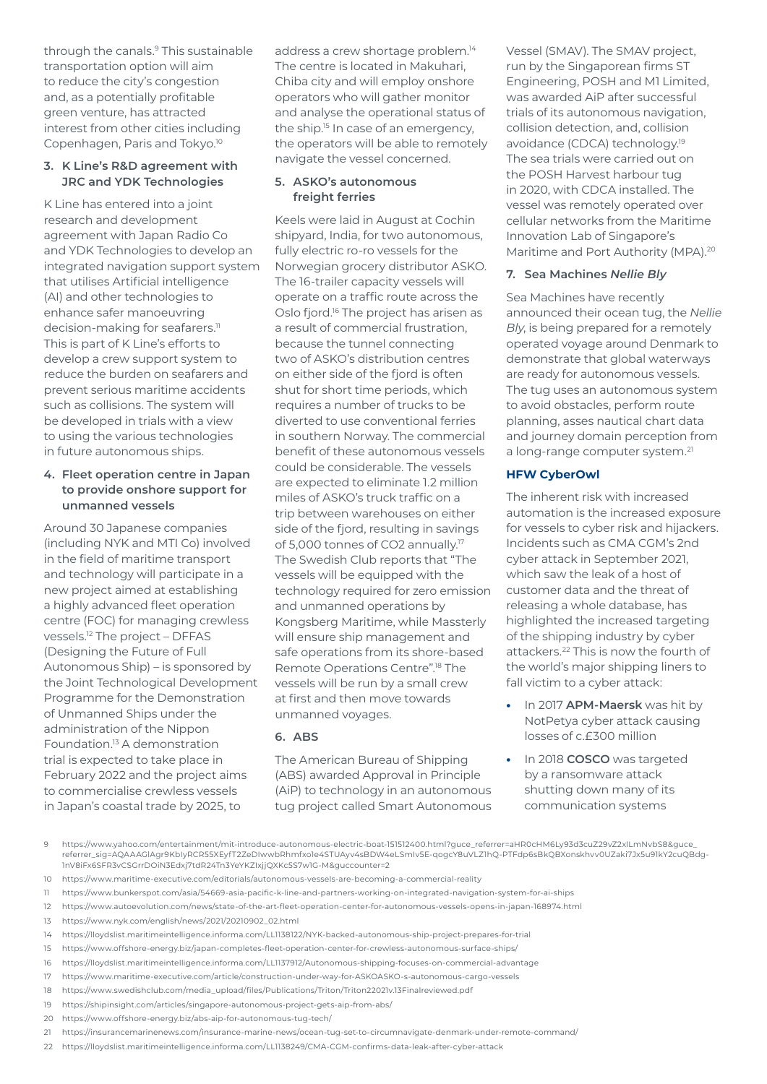through the canals.<sup>9</sup> This sustainable transportation option will aim to reduce the city's congestion and, as a potentially profitable green venture, has attracted interest from other cities including Copenhagen, Paris and Tokyo.10

#### **3. K Line's R&D agreement with JRC and YDK Technologies**

K Line has entered into a joint research and development agreement with Japan Radio Co and YDK Technologies to develop an integrated navigation support system that utilises Artificial intelligence (AI) and other technologies to enhance safer manoeuvring decision-making for seafarers.<sup>11</sup> This is part of K Line's efforts to develop a crew support system to reduce the burden on seafarers and prevent serious maritime accidents such as collisions. The system will be developed in trials with a view to using the various technologies in future autonomous ships.

#### **4. Fleet operation centre in Japan to provide onshore support for unmanned vessels**

Around 30 Japanese companies (including NYK and MTI Co) involved in the field of maritime transport and technology will participate in a new project aimed at establishing a highly advanced fleet operation centre (FOC) for managing crewless vessels.12 The project – DFFAS (Designing the Future of Full Autonomous Ship) – is sponsored by the Joint Technological Development Programme for the Demonstration of Unmanned Ships under the administration of the Nippon Foundation.13 A demonstration trial is expected to take place in February 2022 and the project aims to commercialise crewless vessels in Japan's coastal trade by 2025, to

address a crew shortage problem.<sup>14</sup> The centre is located in Makuhari, Chiba city and will employ onshore operators who will gather monitor and analyse the operational status of the ship.<sup>15</sup> In case of an emergency, the operators will be able to remotely navigate the vessel concerned.

#### **5. ASKO's autonomous freight ferries**

Keels were laid in August at Cochin shipyard, India, for two autonomous, fully electric ro-ro vessels for the Norwegian grocery distributor ASKO. The 16-trailer capacity vessels will operate on a traffic route across the Oslo fjord.<sup>16</sup> The project has arisen as a result of commercial frustration, because the tunnel connecting two of ASKO's distribution centres on either side of the fjord is often shut for short time periods, which requires a number of trucks to be diverted to use conventional ferries in southern Norway. The commercial benefit of these autonomous vessels could be considerable. The vessels are expected to eliminate 1.2 million miles of ASKO's truck traffic on a trip between warehouses on either side of the fjord, resulting in savings of 5,000 tonnes of CO2 annually.17 The Swedish Club reports that "The vessels will be equipped with the technology required for zero emission and unmanned operations by Kongsberg Maritime, while Massterly will ensure ship management and safe operations from its shore-based Remote Operations Centre".18 The vessels will be run by a small crew at first and then move towards unmanned voyages.

# **6. ABS**

The American Bureau of Shipping (ABS) awarded Approval in Principle (AiP) to technology in an autonomous tug project called Smart Autonomous

Vessel (SMAV). The SMAV project, run by the Singaporean firms ST Engineering, POSH and M1 Limited, was awarded AiP after successful trials of its autonomous navigation, collision detection, and, collision avoidance (CDCA) technology.19 The sea trials were carried out on the POSH Harvest harbour tug in 2020, with CDCA installed. The vessel was remotely operated over cellular networks from the Maritime Innovation Lab of Singapore's Maritime and Port Authority (MPA).<sup>20</sup>

# **7. Sea Machines** *Nellie Bly*

Sea Machines have recently announced their ocean tug, the *Nellie Bly*, is being prepared for a remotely operated voyage around Denmark to demonstrate that global waterways are ready for autonomous vessels. The tug uses an autonomous system to avoid obstacles, perform route planning, asses nautical chart data and journey domain perception from a long-range computer system.<sup>21</sup>

## **HFW CyberOwl**

The inherent risk with increased automation is the increased exposure for vessels to cyber risk and hijackers. Incidents such as CMA CGM's 2nd cyber attack in September 2021, which saw the leak of a host of customer data and the threat of releasing a whole database, has highlighted the increased targeting of the shipping industry by cyber attackers.22 This is now the fourth of the world's major shipping liners to fall victim to a cyber attack:

- **•** In 2017 **APM-Maersk** was hit by NotPetya cyber attack causing losses of c.£300 million
- **•** In 2018 **COSCO** was targeted by a ransomware attack shutting down many of its communication systems

13 [https://www.nyk.com/english/news/2021/20210902\\_02.html](https://www.nyk.com/english/news/2021/20210902_02.html)

- 17 <https://www.maritime-executive.com/article/construction-under-way-for-ASKOASKO-s-autonomous-cargo-vessels>
- 18 [https://www.swedishclub.com/media\\_upload/files/Publications/Triton/Triton22021v.13Finalreviewed.pdf](https://www.swedishclub.com/media_upload/files/Publications/Triton/Triton22021v.13Finalreviewed.pdf)

20 <https://www.offshore-energy.biz/abs-aip-for-autonomous-tug-tech/>

<sup>9</sup> [https://www.yahoo.com/entertainment/mit-introduce-autonomous-electric-boat-151512400.html?guce\\_referrer=aHR0cHM6Ly93d3cuZ29vZ2xlLmNvbS8&guce\\_](https://www.yahoo.com/entertainment/mit-introduce-autonomous-electric-boat-151512400.html?guce_referrer=aHR0cHM6Ly93d3cuZ29vZ2xlLmNvbS8&guce_referrer_sig=AQAAAGlAgr9KbIyRCR55XEyfT2ZeDIwwbRhmfxo1e4STUAyv4sBDW4eLSmIv5E-qogcY8uVLZ1hQ-PTFdp6sBkQBXonskhvv0UZaki7Jx5u91kY2cuQBdg-1nV8iFx6SFR3vCSGrrDOiN3Edxj7tdR24Tn3YeYKZIxjjQXKc5S7w1G-M&guccounter=2) [referrer\\_sig=AQAAAGlAgr9KbIyRCR55XEyfT2ZeDIwwbRhmfxo1e4STUAyv4sBDW4eLSmIv5E-qogcY8uVLZ1hQ-PTFdp6sBkQBXonskhvv0UZaki7Jx5u91kY2cuQBdg-](https://www.yahoo.com/entertainment/mit-introduce-autonomous-electric-boat-151512400.html?guce_referrer=aHR0cHM6Ly93d3cuZ29vZ2xlLmNvbS8&guce_referrer_sig=AQAAAGlAgr9KbIyRCR55XEyfT2ZeDIwwbRhmfxo1e4STUAyv4sBDW4eLSmIv5E-qogcY8uVLZ1hQ-PTFdp6sBkQBXonskhvv0UZaki7Jx5u91kY2cuQBdg-1nV8iFx6SFR3vCSGrrDOiN3Edxj7tdR24Tn3YeYKZIxjjQXKc5S7w1G-M&guccounter=2)[1nV8iFx6SFR3vCSGrrDOiN3Edxj7tdR24Tn3YeYKZIxjjQXKc5S7w1G-M&guccounter=2](https://www.yahoo.com/entertainment/mit-introduce-autonomous-electric-boat-151512400.html?guce_referrer=aHR0cHM6Ly93d3cuZ29vZ2xlLmNvbS8&guce_referrer_sig=AQAAAGlAgr9KbIyRCR55XEyfT2ZeDIwwbRhmfxo1e4STUAyv4sBDW4eLSmIv5E-qogcY8uVLZ1hQ-PTFdp6sBkQBXonskhvv0UZaki7Jx5u91kY2cuQBdg-1nV8iFx6SFR3vCSGrrDOiN3Edxj7tdR24Tn3YeYKZIxjjQXKc5S7w1G-M&guccounter=2)

<sup>10</sup> <https://www.maritime-executive.com/editorials/autonomous-vessels-are-becoming-a-commercial-reality>

<sup>11</sup> <https://www.bunkerspot.com/asia/54669-asia-pacific-k-line-and-partners-working-on-integrated-navigation-system-for-ai-ships>

<sup>12</sup> <https://www.autoevolution.com/news/state-of-the-art-fleet-operation-center-for-autonomous-vessels-opens-in-japan-168974.html>

<sup>14</sup> <https://lloydslist.maritimeintelligence.informa.com/LL1138122/NYK-backed-autonomous-ship-project-prepares-for-trial>

<sup>15</sup> <https://www.offshore-energy.biz/japan-completes-fleet-operation-center-for-crewless-autonomous-surface-ships/>

<sup>16</sup> <https://lloydslist.maritimeintelligence.informa.com/LL1137912/Autonomous-shipping-focuses-on-commercial-advantage>

<sup>19</sup> <https://shipinsight.com/articles/singapore-autonomous-project-gets-aip-from-abs/>

<sup>21</sup> <https://insurancemarinenews.com/insurance-marine-news/ocean-tug-set-to-circumnavigate-denmark-under-remote-command/>

<sup>22</sup> [https://lloydslist.maritimeintelligence.informa.com/LL1138249/CMA-CGM-confirms-data-leak-after-cyber-attack](https://lloydslist.maritimeintelligence.informa.com/LL1138249/CMA-CGM-confirms-data-leak-after-cyber attack)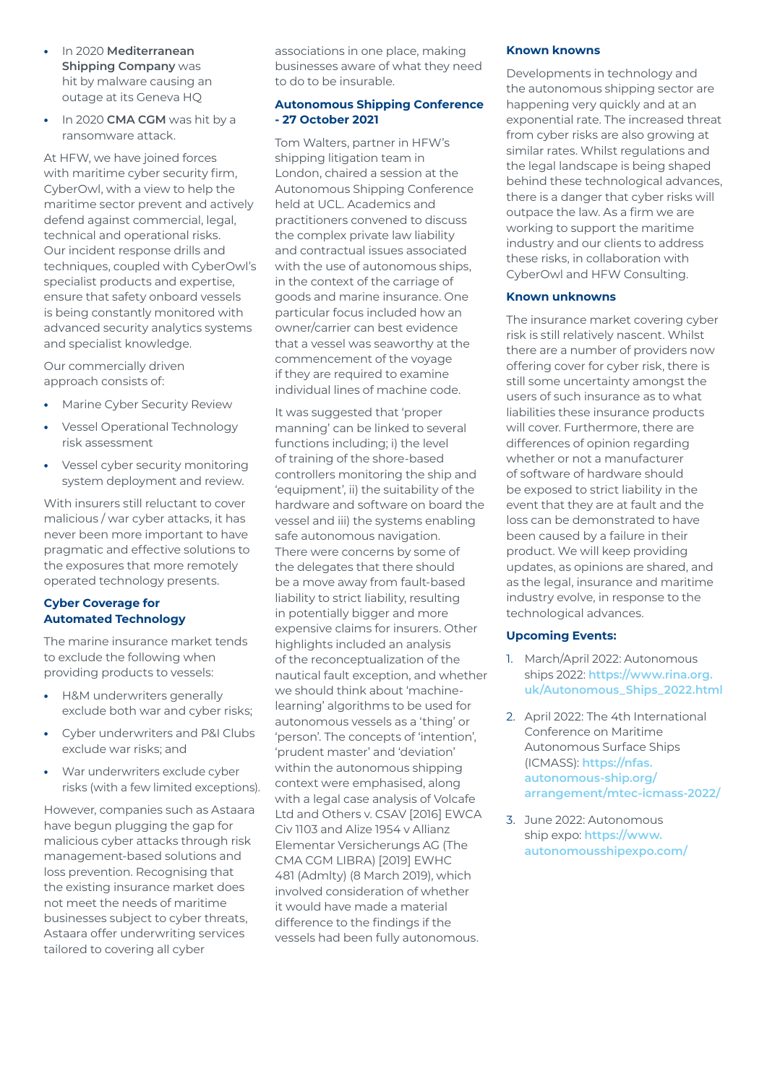- **•** In 2020 **Mediterranean Shipping Company** was hit by malware causing an outage at its Geneva HQ
- **•** In 2020 **CMA CGM** was hit by a ransomware attack.

At HFW, we have joined forces with maritime cyber security firm, CyberOwl, with a view to help the maritime sector prevent and actively defend against commercial, legal, technical and operational risks. Our incident response drills and techniques, coupled with CyberOwl's specialist products and expertise, ensure that safety onboard vessels is being constantly monitored with advanced security analytics systems and specialist knowledge.

Our commercially driven approach consists of:

- **•** Marine Cyber Security Review
- **•** Vessel Operational Technology risk assessment
- **•** Vessel cyber security monitoring system deployment and review.

With insurers still reluctant to cover malicious / war cyber attacks, it has never been more important to have pragmatic and effective solutions to the exposures that more remotely operated technology presents.

# **Cyber Coverage for Automated Technology**

The marine insurance market tends to exclude the following when providing products to vessels:

- **•** H&M underwriters generally exclude both war and cyber risks;
- **•** Cyber underwriters and P&I Clubs exclude war risks; and
- **•** War underwriters exclude cyber risks (with a few limited exceptions).

However, companies such as Astaara have begun plugging the gap for malicious cyber attacks through risk management-based solutions and loss prevention. Recognising that the existing insurance market does not meet the needs of maritime businesses subject to cyber threats, Astaara offer underwriting services tailored to covering all cyber

associations in one place, making businesses aware of what they need to do to be insurable.

# **Autonomous Shipping Conference - 27 October 2021**

Tom Walters, partner in HFW's shipping litigation team in London, chaired a session at the Autonomous Shipping Conference held at UCL. Academics and practitioners convened to discuss the complex private law liability and contractual issues associated with the use of autonomous ships, in the context of the carriage of goods and marine insurance. One particular focus included how an owner/carrier can best evidence that a vessel was seaworthy at the commencement of the voyage if they are required to examine individual lines of machine code.

It was suggested that 'proper manning' can be linked to several functions including; i) the level of training of the shore-based controllers monitoring the ship and 'equipment', ii) the suitability of the hardware and software on board the vessel and iii) the systems enabling safe autonomous navigation. There were concerns by some of the delegates that there should be a move away from fault-based liability to strict liability, resulting in potentially bigger and more expensive claims for insurers. Other highlights included an analysis of the reconceptualization of the nautical fault exception, and whether we should think about 'machinelearning' algorithms to be used for autonomous vessels as a 'thing' or 'person'. The concepts of 'intention', 'prudent master' and 'deviation' within the autonomous shipping context were emphasised, along with a legal case analysis of Volcafe Ltd and Others v. CSAV [2016] EWCA Civ 1103 and Alize 1954 v Allianz Elementar Versicherungs AG (The CMA CGM LIBRA) [2019] EWHC 481 (Admlty) (8 March 2019), which involved consideration of whether it would have made a material difference to the findings if the vessels had been fully autonomous.

#### **Known knowns**

Developments in technology and the autonomous shipping sector are happening very quickly and at an exponential rate. The increased threat from cyber risks are also growing at similar rates. Whilst regulations and the legal landscape is being shaped behind these technological advances, there is a danger that cyber risks will outpace the law. As a firm we are working to support the maritime industry and our clients to address these risks, in collaboration with CyberOwl and HFW Consulting.

#### **Known unknowns**

The insurance market covering cyber risk is still relatively nascent. Whilst there are a number of providers now offering cover for cyber risk, there is still some uncertainty amongst the users of such insurance as to what liabilities these insurance products will cover. Furthermore, there are differences of opinion regarding whether or not a manufacturer of software of hardware should be exposed to strict liability in the event that they are at fault and the loss can be demonstrated to have been caused by a failure in their product. We will keep providing updates, as opinions are shared, and as the legal, insurance and maritime industry evolve, in response to the technological advances.

# **Upcoming Events:**

- 1. March/April 2022: Autonomous ships 2022: **[https://www.rina.org.](https://www.rina.org.uk/Autonomous_Ships_2022.html) [uk/Autonomous\\_Ships\\_2022.html](https://www.rina.org.uk/Autonomous_Ships_2022.html)**
- 2. April 2022: The 4th International Conference on Maritime Autonomous Surface Ships (ICMASS): **[https://nfas.](https://nfas.autonomous-ship.org/arrangement/mtec-icmass-2022/) [autonomous-ship.org/](https://nfas.autonomous-ship.org/arrangement/mtec-icmass-2022/) [arrangement/mtec-icmass-2022/](https://nfas.autonomous-ship.org/arrangement/mtec-icmass-2022/)**
- 3. June 2022: Autonomous ship expo: **[https://www.](https://www.autonomousshipexpo.com/) [autonomousshipexpo.com/](https://www.autonomousshipexpo.com/)**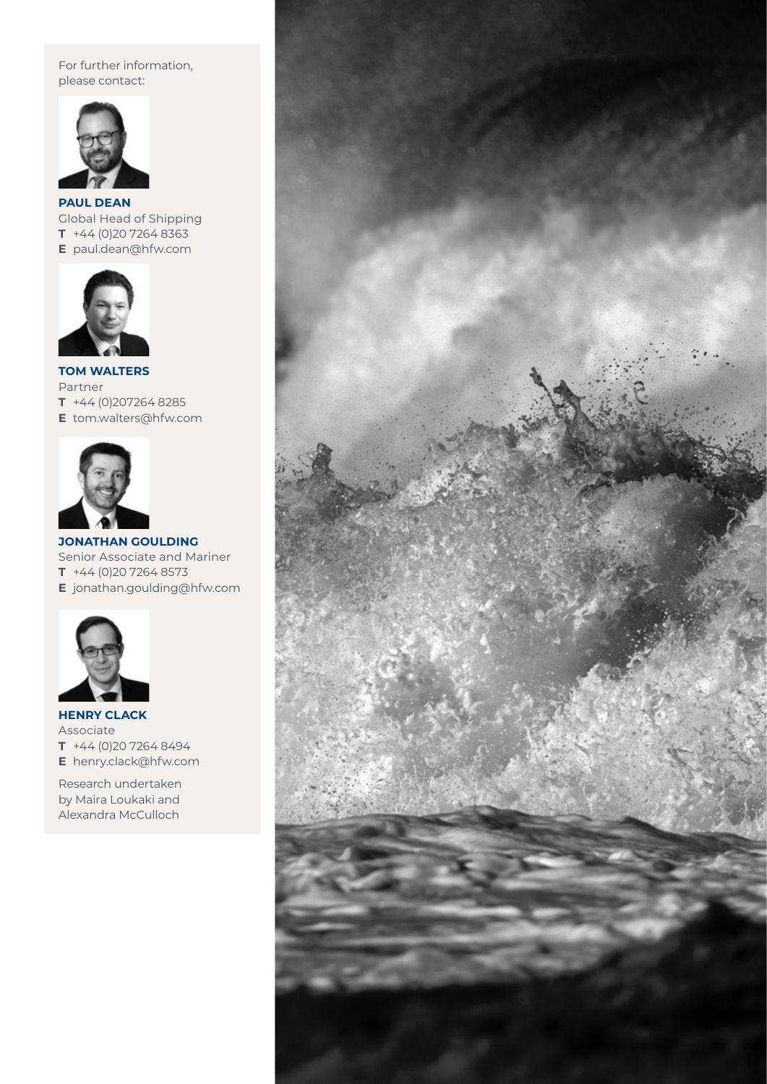For further information, please contact:



**PAUL DEAN** Global Head of Shipping **T** +44 (0)20 7264 8363 **E** paul.dean@hfw.com



**TOM WALTERS** Partner **T** +44 (0)207264 8285 **E** tom.walters@hfw.com



**JONATHAN GOULDING** Senior Associate and Mariner **T** +44 (0)20 7264 8573 **E** jonathan.goulding@hfw.com



**HENRY CLACK** Associate **T** +44 (0)20 7264 8494 **E** henry.clack@hfw.com

Research undertaken by Maira Loukaki and Alexandra McCulloch